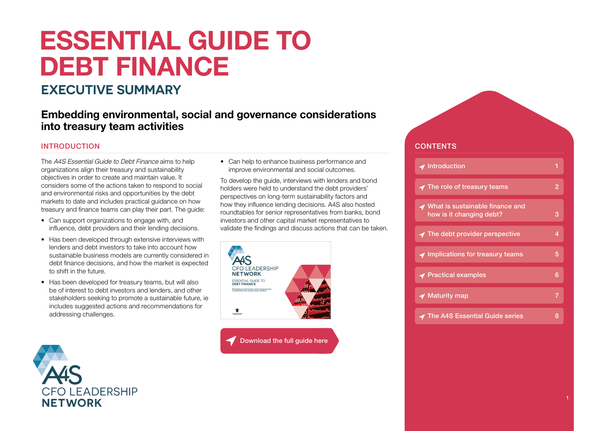# **ESSENTIAL GUIDE TO DEBT FINANCE**

## **EXECUTIVE SUMMARY**

### **Embedding environmental, social and governance considerations into treasury team activities**

### INTRODUCTION

The A4S Essential Guide to Debt Finance aims to help organizations align their treasury and sustainability objectives in order to create and maintain value. It considers some of the actions taken to respond to social and environmental risks and opportunities by the debt markets to date and includes practical guidance on how treasury and finance teams can play their part. The guide:

- Can support organizations to engage with, and influence, debt providers and their lending decisions.
- Has been developed through extensive interviews with lenders and debt investors to take into account how sustainable business models are currently considered in debt finance decisions, and how the market is expected to shift in the future.
- Has been developed for treasury teams, but will also be of interest to debt investors and lenders, and other stakeholders seeking to promote a sustainable future, ie includes suggested actions and recommendations for addressing challenges.

• Can help to enhance business performance and improve environmental and social outcomes.

To develop the guide, interviews with lenders and bond holders were held to understand the debt providers' perspectives on long-term sustainability factors and how they influence lending decisions. A4S also hosted roundtables for senior representatives from banks, bond investors and other capital market representatives to validate the findings and discuss actions that can be taken.



[Download the full guide here](https://www.accountingforsustainability.org/en/knowledge-hub/guides/debt-finance.html)

### **CONTENTS**

| ✔ Introduction                                                |   |
|---------------------------------------------------------------|---|
| The role of treasury teams                                    | 2 |
| ◆ What is sustainable finance and<br>how is it changing debt? | з |
| $\blacktriangleleft$ The debt provider perspective            | Δ |
| $\blacktriangleleft$ Implications for treasury teams          | 5 |
| $\blacktriangleright$ Practical examples                      | 6 |
| √ Maturity map                                                |   |
| <b>The A4S Essential Guide series</b>                         | 8 |

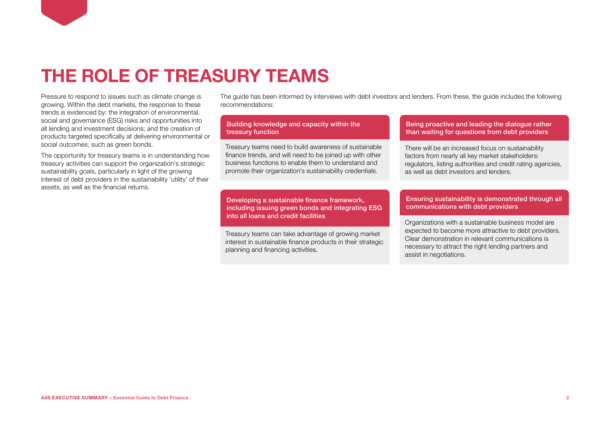<span id="page-1-0"></span>

Pressure to respond to issues such as climate change is growing. Within the debt markets, the response to these trends is evidenced by: the integration of environmental, social and governance (ESG) risks and opportunities into all lending and investment decisions; and the creation of products targeted specifically at delivering environmental or social outcomes, such as green bonds.

The opportunity for treasury teams is in understanding how treasury activities can support the organization's strategic sustainability goals, particularly in light of the growing interest of debt providers in the sustainability 'utility' of their assets, as well as the financial returns.

The guide has been informed by interviews with debt investors and lenders. From these, the guide includes the following recommendations:

#### Building knowledge and capacity within the treasury function

Treasury teams need to build awareness of sustainable finance trends, and will need to be joined up with other business functions to enable them to understand and promote their organization's sustainability credentials.

#### Being proactive and leading the dialogue rather than waiting for questions from debt providers

There will be an increased focus on sustainability factors from nearly all key market stakeholders: regulators, listing authorities and credit rating agencies, as well as debt investors and lenders.

#### Developing a sustainable finance framework, including issuing green bonds and integrating ESG into all loans and credit facilities

Treasury teams can take advantage of growing market interest in sustainable finance products in their strategic planning and financing activities.

#### Ensuring sustainability is demonstrated through all communications with debt providers

Organizations with a sustainable business model are expected to become more attractive to debt providers. Clear demonstration in relevant communications is necessary to attract the right lending partners and assist in negotiations.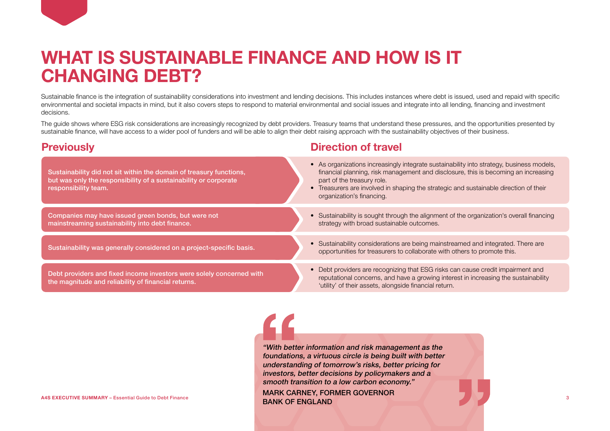## <span id="page-2-0"></span>**WHAT IS SUSTAINABLE FINANCE AND HOW IS IT CHANGING DEBT?**

Sustainable finance is the integration of sustainability considerations into investment and lending decisions. This includes instances where debt is issued, used and repaid with specific environmental and societal impacts in mind, but it also covers steps to respond to material environmental and social issues and integrate into all lending, financing and investment decisions.

The guide shows where ESG risk considerations are increasingly recognized by debt providers. Treasury teams that understand these pressures, and the opportunities presented by sustainable finance, will have access to a wider pool of funders and will be able to align their debt raising approach with the sustainability objectives of their business.

### **Previously Direction of travel**

| Sustainability did not sit within the domain of treasury functions,<br>but was only the responsibility of a sustainability or corporate<br>responsibility team. | • As organizations increasingly integrate sustainability into strategy, business models,<br>financial planning, risk management and disclosure, this is becoming an increasing<br>part of the treasury role.<br>• Treasurers are involved in shaping the strategic and sustainable direction of their<br>organization's financing. |
|-----------------------------------------------------------------------------------------------------------------------------------------------------------------|------------------------------------------------------------------------------------------------------------------------------------------------------------------------------------------------------------------------------------------------------------------------------------------------------------------------------------|
| Companies may have issued green bonds, but were not<br>mainstreaming sustainability into debt finance.                                                          | • Sustainability is sought through the alignment of the organization's overall financing<br>strategy with broad sustainable outcomes.                                                                                                                                                                                              |
| Sustainability was generally considered on a project-specific basis.                                                                                            | • Sustainability considerations are being mainstreamed and integrated. There are<br>opportunities for treasurers to collaborate with others to promote this.                                                                                                                                                                       |
| Debt providers and fixed income investors were solely concerned with<br>the magnitude and reliability of financial returns.                                     | • Debt providers are recognizing that ESG risks can cause credit impairment and<br>reputational concerns, and have a growing interest in increasing the sustainability<br>'utility' of their assets, alongside financial return.                                                                                                   |

"With better information and risk management as the foundations, a virtuous circle is being built with better understanding of tomorrow's risks, better pricing for investors, better decisions by policymakers and a smooth transition to a low carbon economy."

MARK CARNEY, FORMER GOVERNOR BANK OF ENGLAND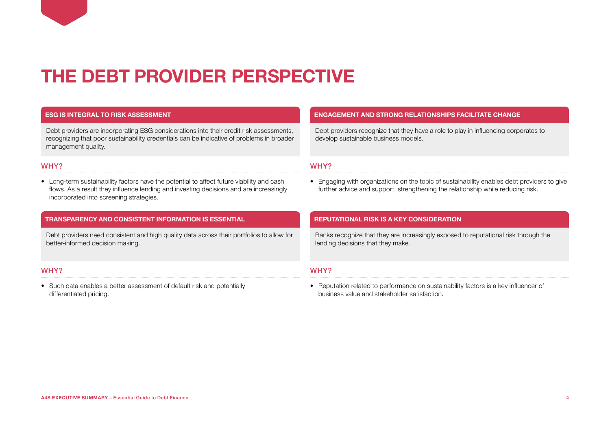## <span id="page-3-0"></span>**THE DEBT PROVIDER PERSPECTIVE**

#### **ESG IS INTEGRAL TO RISK ASSESSMENT**

Debt providers are incorporating ESG considerations into their credit risk assessments, recognizing that poor sustainability credentials can be indicative of problems in broader management quality.

#### WHY?

• Long-term sustainability factors have the potential to affect future viability and cash flows. As a result they influence lending and investing decisions and are increasingly incorporated into screening strategies.

#### **TRANSPARENCY AND CONSISTENT INFORMATION IS ESSENTIAL**

Debt providers need consistent and high quality data across their portfolios to allow for better-informed decision making.

#### WHY?

• Such data enables a better assessment of default risk and potentially differentiated pricing.

#### **ENGAGEMENT AND STRONG RELATIONSHIPS FACILITATE CHANGE**

Debt providers recognize that they have a role to play in influencing corporates to develop sustainable business models.

#### WHY?

• Engaging with organizations on the topic of sustainability enables debt providers to give further advice and support, strengthening the relationship while reducing risk.

#### **REPUTATIONAL RISK IS A KEY CONSIDERATION**

Banks recognize that they are increasingly exposed to reputational risk through the lending decisions that they make.

### WHY?

• Reputation related to performance on sustainability factors is a key influencer of business value and stakeholder satisfaction.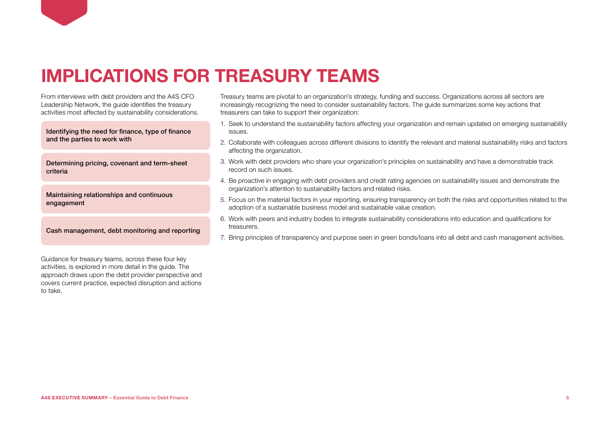## <span id="page-4-0"></span>**IMPLICATIONS FOR TREASURY TEAMS**

From interviews with debt providers and the A4S CFO Leadership Network, the guide identifies the treasury activities most affected by sustainability considerations.

Identifying the need for finance, type of finance and the parties to work with

Determining pricing, covenant and term-sheet criteria

Maintaining relationships and continuous engagement

Cash management, debt monitoring and reporting

Guidance for treasury teams, across these four key activities, is explored in more detail in the guide. The approach draws upon the debt provider perspective and covers current practice, expected disruption and actions to take.

Treasury teams are pivotal to an organization's strategy, funding and success. Organizations across all sectors are increasingly recognizing the need to consider sustainability factors. The guide summarizes some key actions that treasurers can take to support their organization:

- 1. Seek to understand the sustainability factors affecting your organization and remain updated on emerging sustainability issues.
- 2. Collaborate with colleagues across different divisions to identify the relevant and material sustainability risks and factors affecting the organization.
- 3. Work with debt providers who share your organization's principles on sustainability and have a demonstrable track record on such issues.
- 4. Be proactive in engaging with debt providers and credit rating agencies on sustainability issues and demonstrate the organization's attention to sustainability factors and related risks.
- 5. Focus on the material factors in your reporting, ensuring transparency on both the risks and opportunities related to the adoption of a sustainable business model and sustainable value creation.
- 6. Work with peers and industry bodies to integrate sustainability considerations into education and qualifications for treasurers.
- 7. Bring principles of transparency and purpose seen in green bonds/loans into all debt and cash management activities.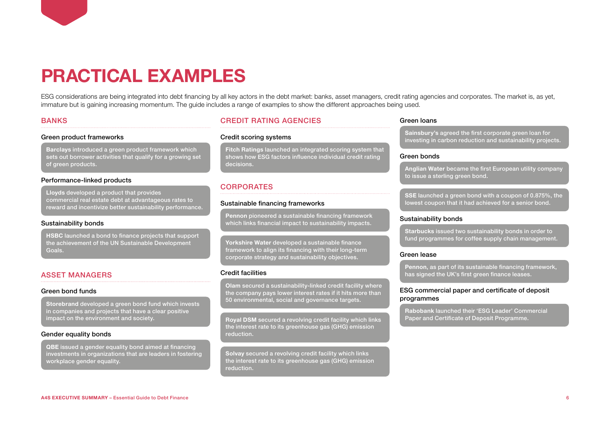## <span id="page-5-0"></span>**PRACTICAL EXAMPLES**

ESG considerations are being integrated into debt financing by all key actors in the debt market: banks, asset managers, credit rating agencies and corporates. The market is, as yet, immature but is gaining increasing momentum. The guide includes a range of examples to show the different approaches being used.

#### **BANKS**

#### Green product frameworks

**Barclays** introduced a green product framework which sets out borrower activities that qualify for a growing set of green products.

#### Performance-linked products

**Lloyds** developed a product that provides commercial real estate debt at advantageous rates to reward and incentivize better sustainability performance.

#### Sustainability bonds

**HSBC** launched a bond to finance projects that support the achievement of the UN Sustainable Development Goals.

#### ASSET MANAGERS

#### Green bond funds

**Storebrand** developed a green bond fund which invests in companies and projects that have a clear positive impact on the environment and society.

#### Gender equality bonds

**QBE** issued a gender equality bond aimed at financing investments in organizations that are leaders in fostering workplace gender equality.

### CREDIT RATING AGENCIES

#### Credit scoring systems

**Fitch Ratings** launched an integrated scoring system that shows how ESG factors influence individual credit rating decisions.

#### **CORPORATES**

#### Sustainable financing frameworks

**Pennon** pioneered a sustainable financing framework which links financial impact to sustainability impacts.

**Yorkshire Water** developed a sustainable finance framework to align its financing with their long-term corporate strategy and sustainability objectives.

#### Credit facilities

**Olam** secured a sustainability-linked credit facility where the company pays lower interest rates if it hits more than 50 environmental, social and governance targets.

**Royal DSM** secured a revolving credit facility which links the interest rate to its greenhouse gas (GHG) emission reduction.

**Solvay** secured a revolving credit facility which links the interest rate to its greenhouse gas (GHG) emission reduction.

#### Green loans

**Sainsbury's** agreed the first corporate green loan for investing in carbon reduction and sustainability projects.

#### Green bonds

**Anglian Water** became the first European utility company to issue a sterling green bond.

**SSE** launched a green bond with a coupon of 0.875%, the lowest coupon that it had achieved for a senior bond.

#### Sustainability bonds

**Starbucks** issued two sustainability bonds in order to fund programmes for coffee supply chain management.

#### Green lease

**Pennon**, as part of its sustainable financing framework, has signed the UK's first green finance leases.

#### ESG commercial paper and certificate of deposit programmes

**Rabobank** launched their 'ESG Leader' Commercial Paper and Certificate of Deposit Programme.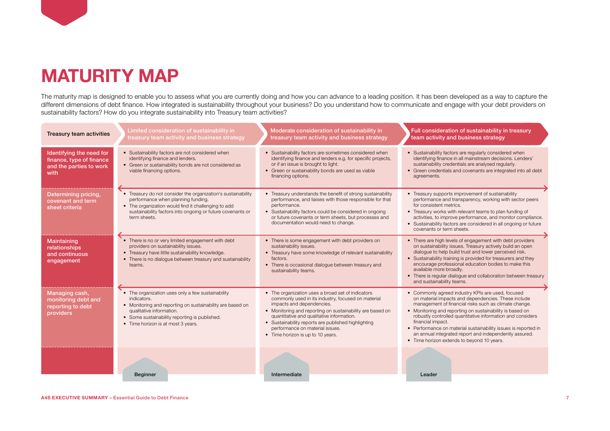## <span id="page-6-0"></span>**MATURITY MAP**

The maturity map is designed to enable you to assess what you are currently doing and how you can advance to a leading position. It has been developed as a way to capture the different dimensions of debt finance. How integrated is sustainability throughout your business? Do you understand how to communicate and engage with your debt providers on sustainability factors? How do you integrate sustainability into Treasury team activities?

| Treasury team activities                                                                | Limited consideration of sustainability in<br>treasury team activity and business strategy                                                                                                                                                       | Moderate consideration of sustainability in<br>treasury team activity and business strategy                                                                                                                                                                                                                                                                                   | Full consideration of sustainability in treasury<br>team activity and business strategy                                                                                                                                                                                                                                                                                                                                                                                                    |
|-----------------------------------------------------------------------------------------|--------------------------------------------------------------------------------------------------------------------------------------------------------------------------------------------------------------------------------------------------|-------------------------------------------------------------------------------------------------------------------------------------------------------------------------------------------------------------------------------------------------------------------------------------------------------------------------------------------------------------------------------|--------------------------------------------------------------------------------------------------------------------------------------------------------------------------------------------------------------------------------------------------------------------------------------------------------------------------------------------------------------------------------------------------------------------------------------------------------------------------------------------|
| Identifying the need for<br>finance, type of finance<br>and the parties to work<br>with | • Sustainability factors are not considered when<br>identifying finance and lenders.<br>• Green or sustainability bonds are not considered as<br>viable financing options.                                                                       | • Sustainability factors are sometimes considered when<br>identifying finance and lenders e.g. for specific projects,<br>or if an issue is brought to light.<br>• Green or sustainability bonds are used as viable<br>financing options.                                                                                                                                      | • Sustainability factors are regularly considered when<br>identifying finance in all mainstream decisions. Lenders'<br>sustainability credentials are analysed regularly.<br>• Green credentials and covenants are integrated into all debt<br>agreements.                                                                                                                                                                                                                                 |
| Determining pricing,<br>covenant and term<br>sheet criteria                             | • Treasury do not consider the organization's sustainability<br>performance when planning funding.<br>• The organization would find it challenging to add<br>sustainability factors into ongoing or future covenants or<br>term sheets.          | • Treasury understands the benefit of strong sustainability<br>performance, and liaises with those responsible for that<br>performance.<br>• Sustainability factors could be considered in ongoing<br>or future covenants or term sheets, but processes and<br>documentation would need to change.                                                                            | • Treasury supports improvement of sustainability<br>performance and transparency, working with sector peers<br>for consistent metrics.<br>• Treasury works with relevant teams to plan funding of<br>activities, to improve performance, and monitor compliance.<br>• Sustainability factors are considered in all ongoing or future<br>covenants or term sheets.                                                                                                                         |
| Maintaining<br>relationships<br>and continuous<br>engagement                            | • There is no or very limited engagement with debt<br>providers on sustainability issues.<br>• Treasury have little sustainability knowledge.<br>• There is no dialogue between treasury and sustainability<br>teams.                            | • There is some engagement with debt providers on<br>sustainability issues.<br>• Treasury have some knowledge of relevant sustainability<br>factors.<br>• There is occasional dialogue between treasury and<br>sustainability teams.                                                                                                                                          | • There are high levels of engagement with debt providers<br>on sustainability issues. Treasury actively build an open<br>dialogue to help build trust and lower perceived risk.<br>• Sustainability training is provided for treasurers and they<br>encourage professional education bodies to make this<br>available more broadly.<br>• There is regular dialogue and collaboration between treasury<br>and sustainability teams.                                                        |
| Managing cash,<br>monitoring debt and<br>reporting to debt<br>providers                 | • The organization uses only a few sustainability<br>indicators.<br>• Monitoring and reporting on sustainability are based on<br>qualitative information.<br>• Some sustainability reporting is published.<br>• Time horizon is at most 3 years. | • The organization uses a broad set of indicators<br>commonly used in its industry, focused on material<br>impacts and dependencies.<br>• Monitoring and reporting on sustainability are based on<br>quantitative and qualitative information.<br>• Sustainability reports are published highlighting<br>performance on material issues.<br>• Time horizon is up to 10 years. | • Commonly agreed industry KPIs are used, focused<br>on material impacts and dependencies. These include<br>management of financial risks such as climate change.<br>• Monitoring and reporting on sustainability is based on<br>robustly controlled quantitative information and considers<br>financial impact.<br>• Performance on material sustainability issues is reported in<br>an annual integrated report and independently assured.<br>• Time horizon extends to beyond 10 years. |
|                                                                                         | <b>Beginner</b>                                                                                                                                                                                                                                  | Intermediate                                                                                                                                                                                                                                                                                                                                                                  | Leader                                                                                                                                                                                                                                                                                                                                                                                                                                                                                     |
|                                                                                         |                                                                                                                                                                                                                                                  |                                                                                                                                                                                                                                                                                                                                                                               |                                                                                                                                                                                                                                                                                                                                                                                                                                                                                            |